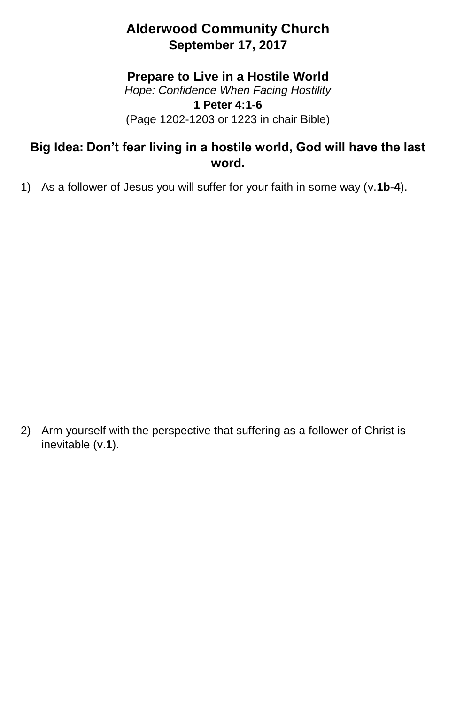## **Alderwood Community Church September 17, 2017**

## **Prepare to Live in a Hostile World**

*Hope: Confidence When Facing Hostility* **1 Peter 4:1-6** (Page 1202-1203 or 1223 in chair Bible)

## **Big Idea: Don't fear living in a hostile world, God will have the last word.**

1) As a follower of Jesus you will suffer for your faith in some way (v.**1b-4**).

2) Arm yourself with the perspective that suffering as a follower of Christ is inevitable (v.**1**).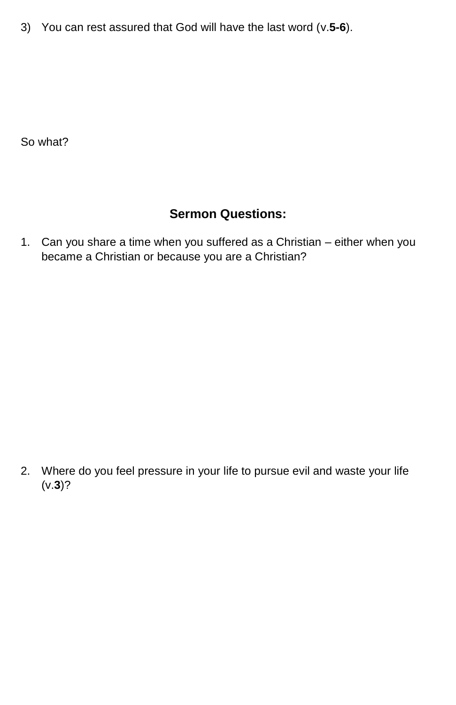3) You can rest assured that God will have the last word (v.**5-6**).

So what?

## **Sermon Questions:**

1. Can you share a time when you suffered as a Christian – either when you became a Christian or because you are a Christian?

2. Where do you feel pressure in your life to pursue evil and waste your life (v.**3**)?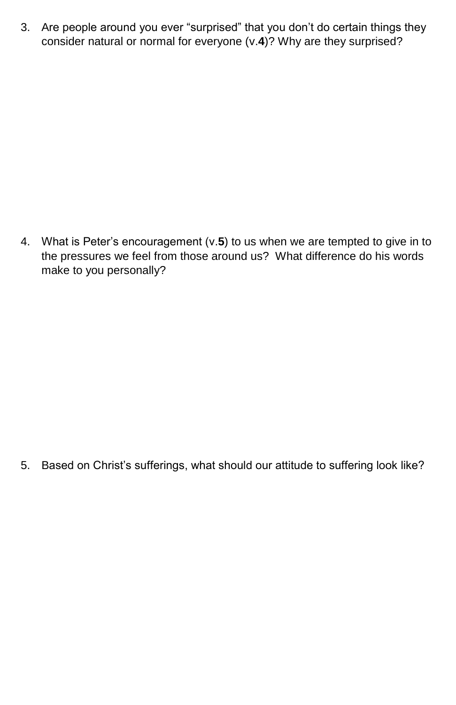3. Are people around you ever "surprised" that you don't do certain things they consider natural or normal for everyone (v.**4**)? Why are they surprised?

4. What is Peter's encouragement (v.**5**) to us when we are tempted to give in to the pressures we feel from those around us? What difference do his words make to you personally?

5. Based on Christ's sufferings, what should our attitude to suffering look like?